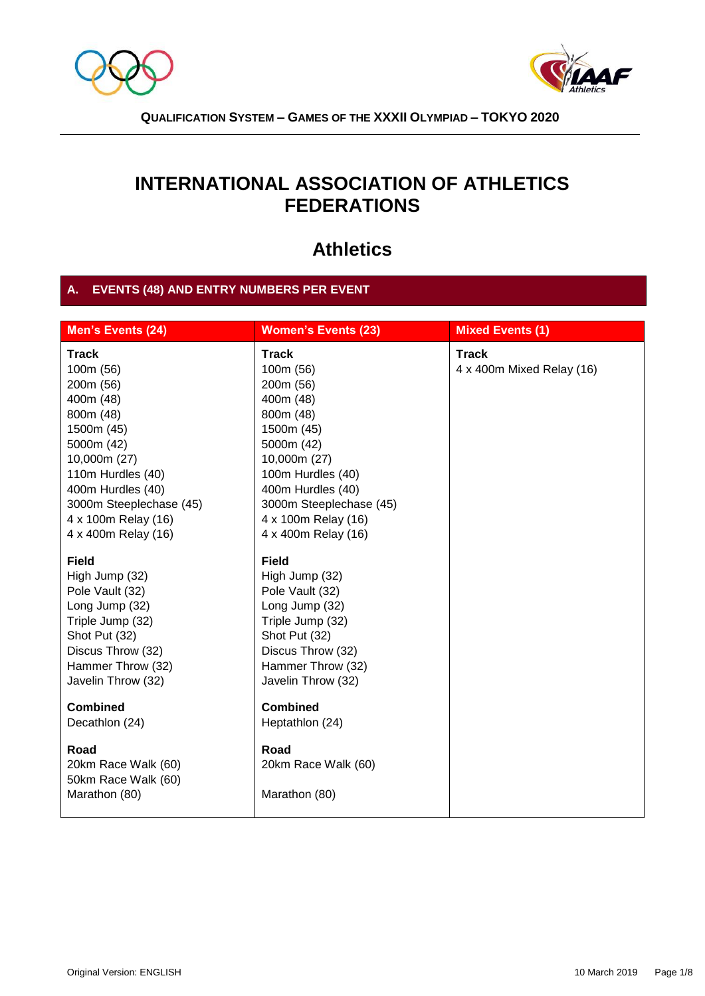



# **INTERNATIONAL ASSOCIATION OF ATHLETICS FEDERATIONS**

# **Athletics**

# **A. EVENTS (48) AND ENTRY NUMBERS PER EVENT**

| <b>Men's Events (24)</b>                                                                                                                                                                                                        | <b>Women's Events (23)</b>                                                                                                                                                                                                      | <b>Mixed Events (1)</b>                   |
|---------------------------------------------------------------------------------------------------------------------------------------------------------------------------------------------------------------------------------|---------------------------------------------------------------------------------------------------------------------------------------------------------------------------------------------------------------------------------|-------------------------------------------|
| <b>Track</b><br>100m (56)<br>200m (56)<br>400m (48)<br>800m (48)<br>1500m (45)<br>5000m (42)<br>10,000m (27)<br>110m Hurdles (40)<br>400m Hurdles (40)<br>3000m Steeplechase (45)<br>4 x 100m Relay (16)<br>4 x 400m Relay (16) | <b>Track</b><br>100m (56)<br>200m (56)<br>400m (48)<br>800m (48)<br>1500m (45)<br>5000m (42)<br>10,000m (27)<br>100m Hurdles (40)<br>400m Hurdles (40)<br>3000m Steeplechase (45)<br>4 x 100m Relay (16)<br>4 x 400m Relay (16) | <b>Track</b><br>4 x 400m Mixed Relay (16) |
| <b>Field</b><br>High Jump (32)<br>Pole Vault (32)<br>Long Jump (32)<br>Triple Jump (32)<br>Shot Put (32)<br>Discus Throw (32)<br>Hammer Throw (32)<br>Javelin Throw (32)                                                        | <b>Field</b><br>High Jump (32)<br>Pole Vault (32)<br>Long Jump (32)<br>Triple Jump (32)<br>Shot Put (32)<br>Discus Throw (32)<br>Hammer Throw (32)<br>Javelin Throw (32)                                                        |                                           |
| <b>Combined</b><br>Decathlon (24)<br>Road<br>20km Race Walk (60)<br>50km Race Walk (60)<br>Marathon (80)                                                                                                                        | <b>Combined</b><br>Heptathlon (24)<br>Road<br>20km Race Walk (60)<br>Marathon (80)                                                                                                                                              |                                           |
|                                                                                                                                                                                                                                 |                                                                                                                                                                                                                                 |                                           |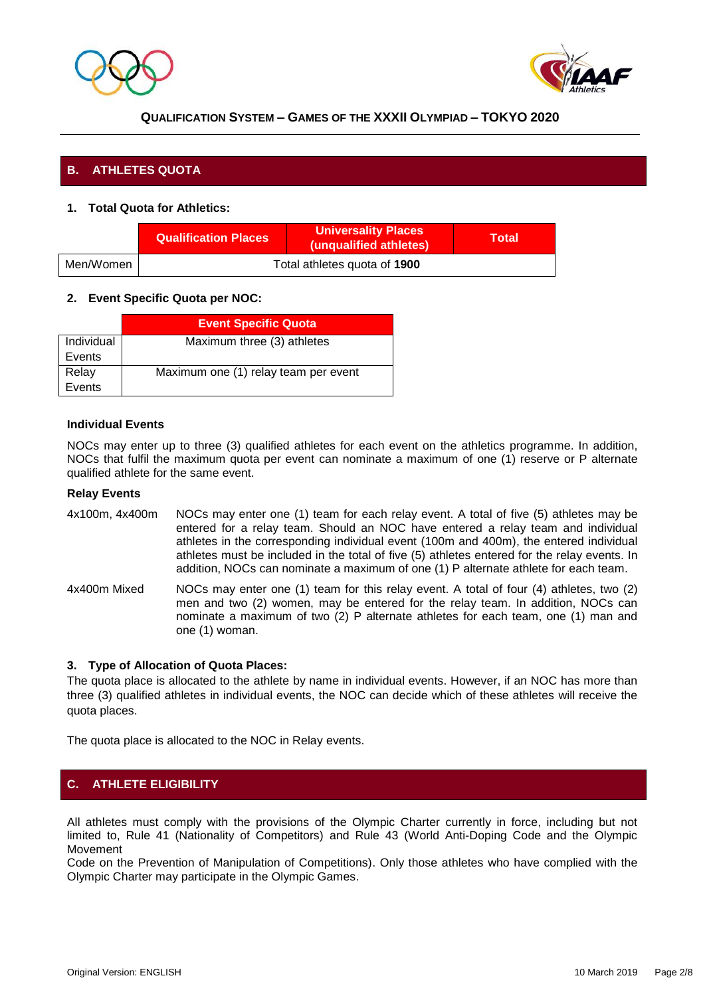



## **B. ATHLETES QUOTA**

#### **1. Total Quota for Athletics:**

|           | <b>Qualification Places</b>  | <b>Universality Places</b><br>(unqualified athletes) | Total |
|-----------|------------------------------|------------------------------------------------------|-------|
| Men/Women | Total athletes quota of 1900 |                                                      |       |

#### **2. Event Specific Quota per NOC:**

|            | <b>Event Specific Quota</b>          |
|------------|--------------------------------------|
| Individual | Maximum three (3) athletes           |
| Events     |                                      |
| Relay      | Maximum one (1) relay team per event |
| Events     |                                      |

#### **Individual Events**

NOCs may enter up to three (3) qualified athletes for each event on the athletics programme. In addition, NOCs that fulfil the maximum quota per event can nominate a maximum of one (1) reserve or P alternate qualified athlete for the same event.

#### **Relay Events**

- 4x100m, 4x400m NOCs may enter one (1) team for each relay event. A total of five (5) athletes may be entered for a relay team. Should an NOC have entered a relay team and individual athletes in the corresponding individual event (100m and 400m), the entered individual athletes must be included in the total of five (5) athletes entered for the relay events. In addition, NOCs can nominate a maximum of one (1) P alternate athlete for each team.
- 4x400m Mixed NOCs may enter one (1) team for this relay event. A total of four (4) athletes, two (2) men and two (2) women, may be entered for the relay team. In addition, NOCs can nominate a maximum of two (2) P alternate athletes for each team, one (1) man and one (1) woman.

#### **3. Type of Allocation of Quota Places:**

The quota place is allocated to the athlete by name in individual events. However, if an NOC has more than three (3) qualified athletes in individual events, the NOC can decide which of these athletes will receive the quota places.

The quota place is allocated to the NOC in Relay events.

## **C. ATHLETE ELIGIBILITY**

All athletes must comply with the provisions of the Olympic Charter currently in force, including but not limited to, Rule 41 (Nationality of Competitors) and Rule 43 (World Anti-Doping Code and the Olympic Movement

Code on the Prevention of Manipulation of Competitions). Only those athletes who have complied with the Olympic Charter may participate in the Olympic Games.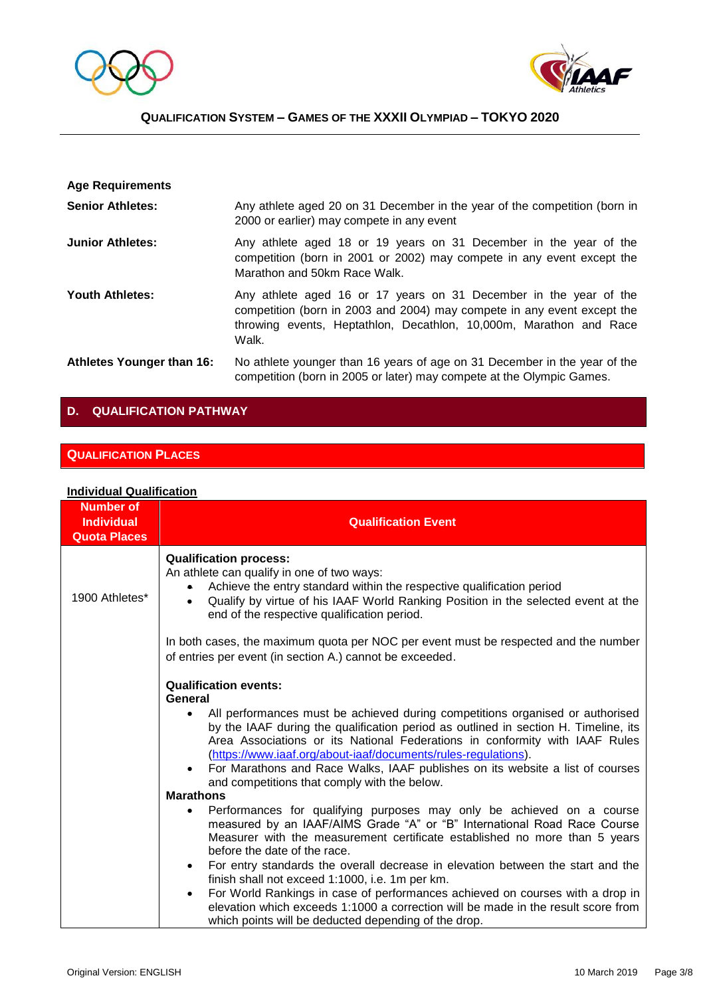



| <b>Age Requirements</b>   |                                                                                                                                                                                                                             |
|---------------------------|-----------------------------------------------------------------------------------------------------------------------------------------------------------------------------------------------------------------------------|
| <b>Senior Athletes:</b>   | Any athlete aged 20 on 31 December in the year of the competition (born in<br>2000 or earlier) may compete in any event                                                                                                     |
| <b>Junior Athletes:</b>   | Any athlete aged 18 or 19 years on 31 December in the year of the<br>competition (born in 2001 or 2002) may compete in any event except the<br>Marathon and 50km Race Walk.                                                 |
| <b>Youth Athletes:</b>    | Any athlete aged 16 or 17 years on 31 December in the year of the<br>competition (born in 2003 and 2004) may compete in any event except the<br>throwing events, Heptathlon, Decathlon, 10,000m, Marathon and Race<br>Walk. |
| Athletes Younger than 16: | No athlete younger than 16 years of age on 31 December in the year of the<br>competition (born in 2005 or later) may compete at the Olympic Games.                                                                          |

# **D. QUALIFICATION PATHWAY**

## **QUALIFICATION PLACES**

#### **Individual Qualification**

| <b>Number of</b><br><b>Individual</b><br><b>Quota Places</b> | <b>Qualification Event</b>                                                                                                                                                                                                                                                                                                                                                                                                                                          |  |
|--------------------------------------------------------------|---------------------------------------------------------------------------------------------------------------------------------------------------------------------------------------------------------------------------------------------------------------------------------------------------------------------------------------------------------------------------------------------------------------------------------------------------------------------|--|
| 1900 Athletes*                                               | <b>Qualification process:</b><br>An athlete can qualify in one of two ways:<br>Achieve the entry standard within the respective qualification period<br>$\bullet$<br>Qualify by virtue of his IAAF World Ranking Position in the selected event at the<br>$\bullet$<br>end of the respective qualification period.                                                                                                                                                  |  |
|                                                              | In both cases, the maximum quota per NOC per event must be respected and the number<br>of entries per event (in section A.) cannot be exceeded.                                                                                                                                                                                                                                                                                                                     |  |
|                                                              | <b>Qualification events:</b><br>General                                                                                                                                                                                                                                                                                                                                                                                                                             |  |
|                                                              | All performances must be achieved during competitions organised or authorised<br>$\bullet$<br>by the IAAF during the qualification period as outlined in section H. Timeline, its<br>Area Associations or its National Federations in conformity with IAAF Rules<br>(https://www.iaaf.org/about-iaaf/documents/rules-regulations).<br>For Marathons and Race Walks, IAAF publishes on its website a list of courses<br>and competitions that comply with the below. |  |
|                                                              | <b>Marathons</b>                                                                                                                                                                                                                                                                                                                                                                                                                                                    |  |
|                                                              | Performances for qualifying purposes may only be achieved on a course<br>measured by an IAAF/AIMS Grade "A" or "B" International Road Race Course<br>Measurer with the measurement certificate established no more than 5 years<br>before the date of the race.                                                                                                                                                                                                     |  |
|                                                              | For entry standards the overall decrease in elevation between the start and the<br>$\bullet$<br>finish shall not exceed 1:1000, i.e. 1m per km.                                                                                                                                                                                                                                                                                                                     |  |
|                                                              | For World Rankings in case of performances achieved on courses with a drop in<br>$\bullet$<br>elevation which exceeds 1:1000 a correction will be made in the result score from<br>which points will be deducted depending of the drop.                                                                                                                                                                                                                             |  |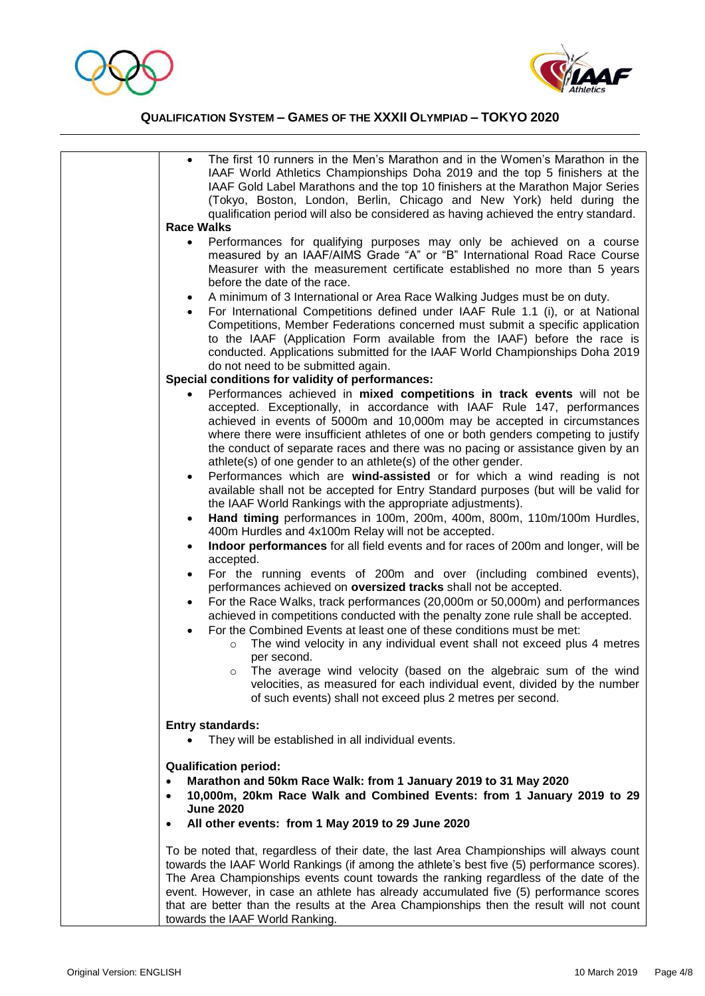



|                                                                                                                                                                                                                                                                 | The first 10 runners in the Men's Marathon and in the Women's Marathon in the<br>IAAF World Athletics Championships Doha 2019 and the top 5 finishers at the<br>IAAF Gold Label Marathons and the top 10 finishers at the Marathon Major Series<br>(Tokyo, Boston, London, Berlin, Chicago and New York) held during the<br>qualification period will also be considered as having achieved the entry standard.                                                                                            |
|-----------------------------------------------------------------------------------------------------------------------------------------------------------------------------------------------------------------------------------------------------------------|------------------------------------------------------------------------------------------------------------------------------------------------------------------------------------------------------------------------------------------------------------------------------------------------------------------------------------------------------------------------------------------------------------------------------------------------------------------------------------------------------------|
|                                                                                                                                                                                                                                                                 | <b>Race Walks</b>                                                                                                                                                                                                                                                                                                                                                                                                                                                                                          |
|                                                                                                                                                                                                                                                                 | Performances for qualifying purposes may only be achieved on a course<br>$\bullet$<br>measured by an IAAF/AIMS Grade "A" or "B" International Road Race Course<br>Measurer with the measurement certificate established no more than 5 years<br>before the date of the race.                                                                                                                                                                                                                               |
|                                                                                                                                                                                                                                                                 |                                                                                                                                                                                                                                                                                                                                                                                                                                                                                                            |
|                                                                                                                                                                                                                                                                 | A minimum of 3 International or Area Race Walking Judges must be on duty.<br>For International Competitions defined under IAAF Rule 1.1 (i), or at National<br>Competitions, Member Federations concerned must submit a specific application<br>to the IAAF (Application Form available from the IAAF) before the race is<br>conducted. Applications submitted for the IAAF World Championships Doha 2019<br>do not need to be submitted again.                                                            |
|                                                                                                                                                                                                                                                                 | Special conditions for validity of performances:                                                                                                                                                                                                                                                                                                                                                                                                                                                           |
|                                                                                                                                                                                                                                                                 | Performances achieved in mixed competitions in track events will not be                                                                                                                                                                                                                                                                                                                                                                                                                                    |
|                                                                                                                                                                                                                                                                 | accepted. Exceptionally, in accordance with IAAF Rule 147, performances<br>achieved in events of 5000m and 10,000m may be accepted in circumstances<br>where there were insufficient athletes of one or both genders competing to justify<br>the conduct of separate races and there was no pacing or assistance given by an<br>athlete(s) of one gender to an athlete(s) of the other gender.                                                                                                             |
|                                                                                                                                                                                                                                                                 | Performances which are wind-assisted or for which a wind reading is not<br>$\bullet$<br>available shall not be accepted for Entry Standard purposes (but will be valid for<br>the IAAF World Rankings with the appropriate adjustments).                                                                                                                                                                                                                                                                   |
|                                                                                                                                                                                                                                                                 | Hand timing performances in 100m, 200m, 400m, 800m, 110m/100m Hurdles,<br>$\bullet$<br>400m Hurdles and 4x100m Relay will not be accepted.                                                                                                                                                                                                                                                                                                                                                                 |
|                                                                                                                                                                                                                                                                 | Indoor performances for all field events and for races of 200m and longer, will be<br>$\bullet$<br>accepted.                                                                                                                                                                                                                                                                                                                                                                                               |
|                                                                                                                                                                                                                                                                 | For the running events of 200m and over (including combined events),<br>$\bullet$<br>performances achieved on oversized tracks shall not be accepted.                                                                                                                                                                                                                                                                                                                                                      |
|                                                                                                                                                                                                                                                                 | For the Race Walks, track performances (20,000m or 50,000m) and performances<br>$\bullet$<br>achieved in competitions conducted with the penalty zone rule shall be accepted.<br>For the Combined Events at least one of these conditions must be met:<br>$\bullet$<br>The wind velocity in any individual event shall not exceed plus 4 metres<br>$\circ$                                                                                                                                                 |
|                                                                                                                                                                                                                                                                 | per second.<br>The average wind velocity (based on the algebraic sum of the wind<br>$\circ$<br>velocities, as measured for each individual event, divided by the number<br>of such events) shall not exceed plus 2 metres per second.                                                                                                                                                                                                                                                                      |
|                                                                                                                                                                                                                                                                 | <b>Entry standards:</b><br>They will be established in all individual events.                                                                                                                                                                                                                                                                                                                                                                                                                              |
| <b>Qualification period:</b><br>Marathon and 50km Race Walk: from 1 January 2019 to 31 May 2020<br>10,000m, 20km Race Walk and Combined Events: from 1 January 2019 to 29<br>$\bullet$<br><b>June 2020</b><br>All other events: from 1 May 2019 to 29 June 2020 |                                                                                                                                                                                                                                                                                                                                                                                                                                                                                                            |
|                                                                                                                                                                                                                                                                 | To be noted that, regardless of their date, the last Area Championships will always count<br>towards the IAAF World Rankings (if among the athlete's best five (5) performance scores).<br>The Area Championships events count towards the ranking regardless of the date of the<br>event. However, in case an athlete has already accumulated five (5) performance scores<br>that are better than the results at the Area Championships then the result will not count<br>towards the IAAF World Ranking. |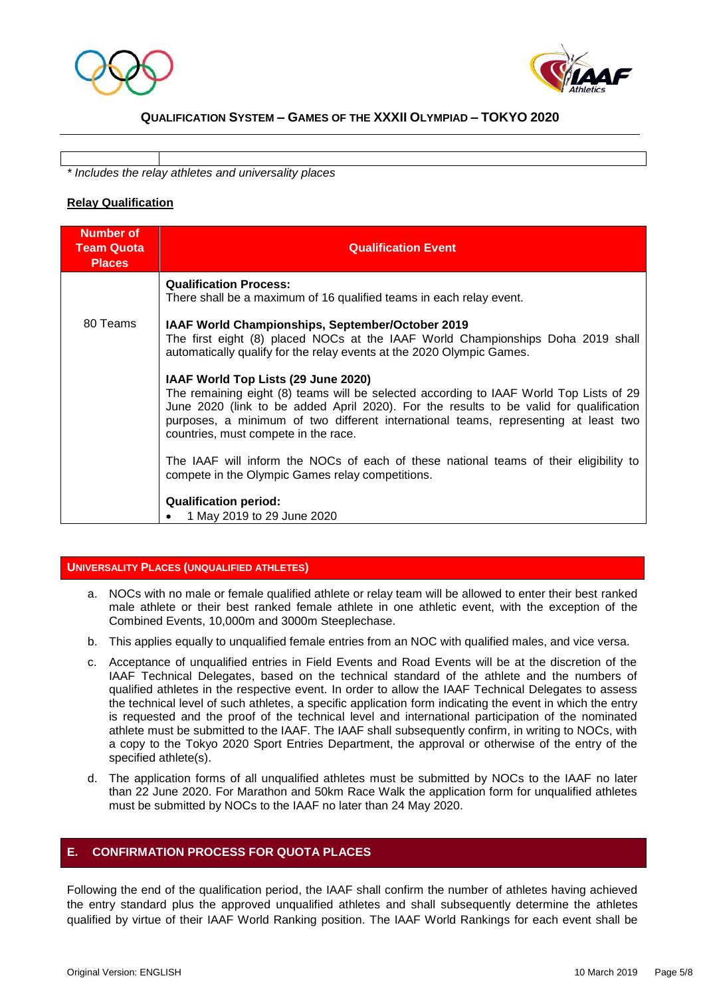



*\* Includes the relay athletes and universality places* 

#### **Relay Qualification**

| <b>Number of</b><br><b>Team Quota</b><br><b>Places</b> | <b>Qualification Event</b>                                                                                                                                                                                                                                                                                                                             |
|--------------------------------------------------------|--------------------------------------------------------------------------------------------------------------------------------------------------------------------------------------------------------------------------------------------------------------------------------------------------------------------------------------------------------|
|                                                        | <b>Qualification Process:</b><br>There shall be a maximum of 16 qualified teams in each relay event.                                                                                                                                                                                                                                                   |
| 80 Teams                                               | IAAF World Championships, September/October 2019<br>The first eight (8) placed NOCs at the IAAF World Championships Doha 2019 shall<br>automatically qualify for the relay events at the 2020 Olympic Games.                                                                                                                                           |
|                                                        | IAAF World Top Lists (29 June 2020)<br>The remaining eight (8) teams will be selected according to IAAF World Top Lists of 29<br>June 2020 (link to be added April 2020). For the results to be valid for qualification<br>purposes, a minimum of two different international teams, representing at least two<br>countries, must compete in the race. |
|                                                        | The IAAF will inform the NOCs of each of these national teams of their eligibility to<br>compete in the Olympic Games relay competitions.                                                                                                                                                                                                              |
|                                                        | <b>Qualification period:</b><br>1 May 2019 to 29 June 2020                                                                                                                                                                                                                                                                                             |

#### **UNIVERSALITY PLACES (UNQUALIFIED ATHLETES)**

- a. NOCs with no male or female qualified athlete or relay team will be allowed to enter their best ranked male athlete or their best ranked female athlete in one athletic event, with the exception of the Combined Events, 10,000m and 3000m Steeplechase.
- b. This applies equally to unqualified female entries from an NOC with qualified males, and vice versa.
- c. Acceptance of unqualified entries in Field Events and Road Events will be at the discretion of the IAAF Technical Delegates, based on the technical standard of the athlete and the numbers of qualified athletes in the respective event. In order to allow the IAAF Technical Delegates to assess the technical level of such athletes, a specific application form indicating the event in which the entry is requested and the proof of the technical level and international participation of the nominated athlete must be submitted to the IAAF. The IAAF shall subsequently confirm, in writing to NOCs, with a copy to the Tokyo 2020 Sport Entries Department, the approval or otherwise of the entry of the specified athlete(s).
- d. The application forms of all unqualified athletes must be submitted by NOCs to the IAAF no later than 22 June 2020. For Marathon and 50km Race Walk the application form for unqualified athletes must be submitted by NOCs to the IAAF no later than 24 May 2020.

#### **E. CONFIRMATION PROCESS FOR QUOTA PLACES**

Following the end of the qualification period, the IAAF shall confirm the number of athletes having achieved the entry standard plus the approved unqualified athletes and shall subsequently determine the athletes qualified by virtue of their IAAF World Ranking position. The IAAF World Rankings for each event shall be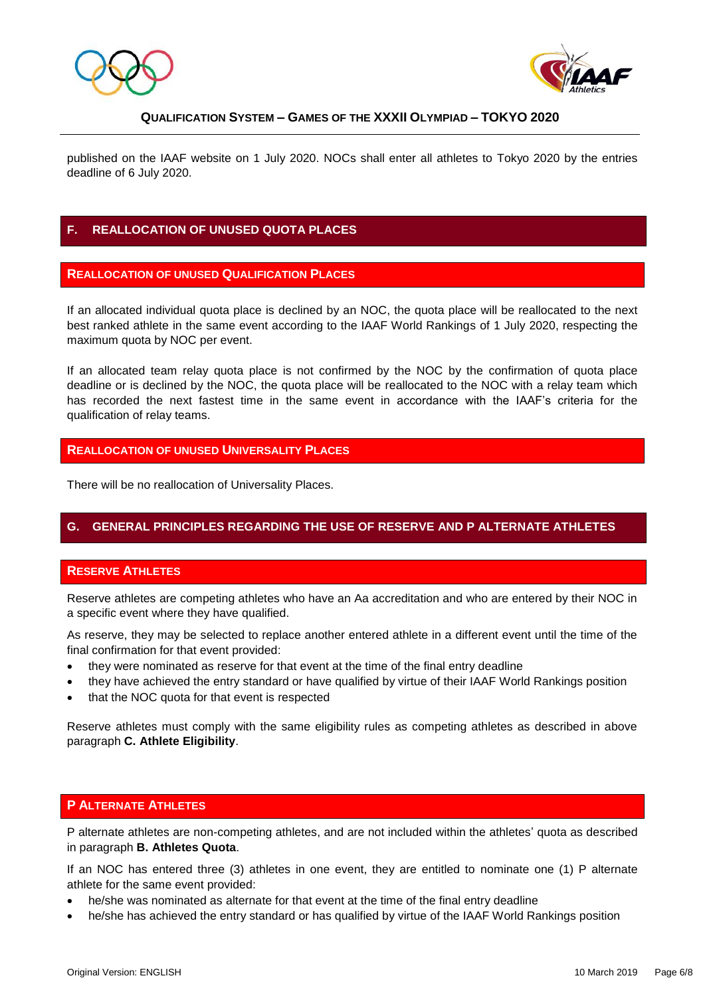



published on the IAAF website on 1 July 2020. NOCs shall enter all athletes to Tokyo 2020 by the entries deadline of 6 July 2020.

## **F. REALLOCATION OF UNUSED QUOTA PLACES**

#### **REALLOCATION OF UNUSED QUALIFICATION PLACES**

If an allocated individual quota place is declined by an NOC, the quota place will be reallocated to the next best ranked athlete in the same event according to the IAAF World Rankings of 1 July 2020, respecting the maximum quota by NOC per event.

If an allocated team relay quota place is not confirmed by the NOC by the confirmation of quota place deadline or is declined by the NOC, the quota place will be reallocated to the NOC with a relay team which has recorded the next fastest time in the same event in accordance with the IAAF's criteria for the qualification of relay teams.

#### **REALLOCATION OF UNUSED UNIVERSALITY PLACES**

There will be no reallocation of Universality Places.

#### **G. GENERAL PRINCIPLES REGARDING THE USE OF RESERVE AND P ALTERNATE ATHLETES**

#### **RESERVE ATHLETES**

Reserve athletes are competing athletes who have an Aa accreditation and who are entered by their NOC in a specific event where they have qualified.

As reserve, they may be selected to replace another entered athlete in a different event until the time of the final confirmation for that event provided:

- they were nominated as reserve for that event at the time of the final entry deadline
- they have achieved the entry standard or have qualified by virtue of their IAAF World Rankings position
- that the NOC quota for that event is respected

Reserve athletes must comply with the same eligibility rules as competing athletes as described in above paragraph **C. Athlete Eligibility**.

#### **P ALTERNATE ATHLETES**

P alternate athletes are non-competing athletes, and are not included within the athletes' quota as described in paragraph **B. Athletes Quota**.

If an NOC has entered three (3) athletes in one event, they are entitled to nominate one (1) P alternate athlete for the same event provided:

- he/she was nominated as alternate for that event at the time of the final entry deadline
- he/she has achieved the entry standard or has qualified by virtue of the IAAF World Rankings position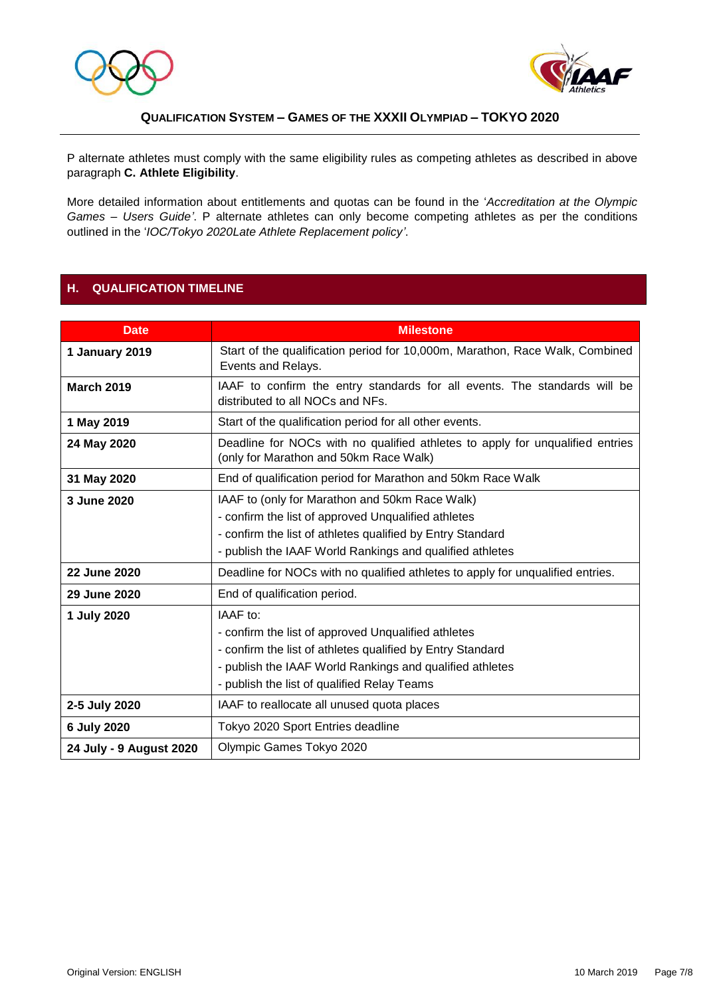



P alternate athletes must comply with the same eligibility rules as competing athletes as described in above paragraph **C. Athlete Eligibility**.

More detailed information about entitlements and quotas can be found in the '*Accreditation at the Olympic Games – Users Guide'*. P alternate athletes can only become competing athletes as per the conditions outlined in the '*IOC/Tokyo 2020Late Athlete Replacement policy'*.

### **H. QUALIFICATION TIMELINE**

| <b>Date</b>             | <b>Milestone</b>                                                                                                                                                                                                                         |  |
|-------------------------|------------------------------------------------------------------------------------------------------------------------------------------------------------------------------------------------------------------------------------------|--|
| 1 January 2019          | Start of the qualification period for 10,000m, Marathon, Race Walk, Combined<br>Events and Relays.                                                                                                                                       |  |
| <b>March 2019</b>       | IAAF to confirm the entry standards for all events. The standards will be<br>distributed to all NOCs and NFs.                                                                                                                            |  |
| 1 May 2019              | Start of the qualification period for all other events.                                                                                                                                                                                  |  |
| 24 May 2020             | Deadline for NOCs with no qualified athletes to apply for unqualified entries<br>(only for Marathon and 50km Race Walk)                                                                                                                  |  |
| 31 May 2020             | End of qualification period for Marathon and 50km Race Walk                                                                                                                                                                              |  |
| 3 June 2020             | IAAF to (only for Marathon and 50km Race Walk)<br>- confirm the list of approved Unqualified athletes<br>- confirm the list of athletes qualified by Entry Standard                                                                      |  |
|                         | - publish the IAAF World Rankings and qualified athletes                                                                                                                                                                                 |  |
| 22 June 2020            | Deadline for NOCs with no qualified athletes to apply for unqualified entries.                                                                                                                                                           |  |
| 29 June 2020            | End of qualification period.                                                                                                                                                                                                             |  |
| 1 July 2020             | IAAF to:<br>- confirm the list of approved Unqualified athletes<br>- confirm the list of athletes qualified by Entry Standard<br>- publish the IAAF World Rankings and qualified athletes<br>- publish the list of qualified Relay Teams |  |
| 2-5 July 2020           | IAAF to reallocate all unused quota places                                                                                                                                                                                               |  |
| 6 July 2020             | Tokyo 2020 Sport Entries deadline                                                                                                                                                                                                        |  |
| 24 July - 9 August 2020 | Olympic Games Tokyo 2020                                                                                                                                                                                                                 |  |